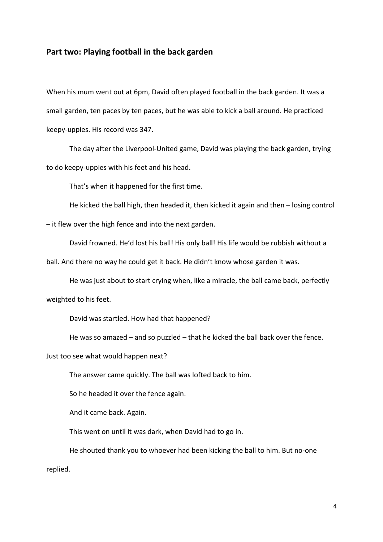## Part two: Playing football in the back garden

When his mum went out at 6pm, David often played football in the back garden. It was a small garden, ten paces by ten paces, but he was able to kick a ball around. He practiced keepy-uppies. His record was 347.

 The day after the Liverpool-United game, David was playing the back garden, trying to do keepy-uppies with his feet and his head.

That's when it happened for the first time.

He kicked the ball high, then headed it, then kicked it again and then – losing control

– it flew over the high fence and into the next garden.

David frowned. He'd lost his ball! His only ball! His life would be rubbish without a

ball. And there no way he could get it back. He didn't know whose garden it was.

 He was just about to start crying when, like a miracle, the ball came back, perfectly weighted to his feet.

David was startled. How had that happened?

He was so amazed – and so puzzled – that he kicked the ball back over the fence.

Just too see what would happen next?

The answer came quickly. The ball was lofted back to him.

So he headed it over the fence again.

And it came back. Again.

This went on until it was dark, when David had to go in.

 He shouted thank you to whoever had been kicking the ball to him. But no-one replied.